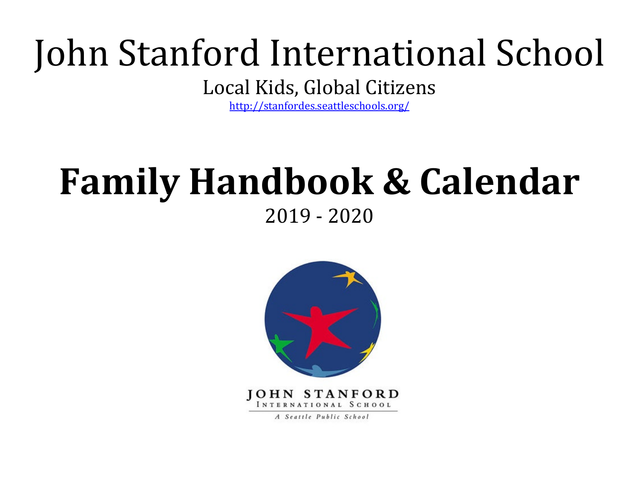# John Stanford International School

Local Kids, Global Citizens

<http://stanfordes.seattleschools.org/>

## **Family Handbook & Calendar**  2019 - 2020



A Seattle Public School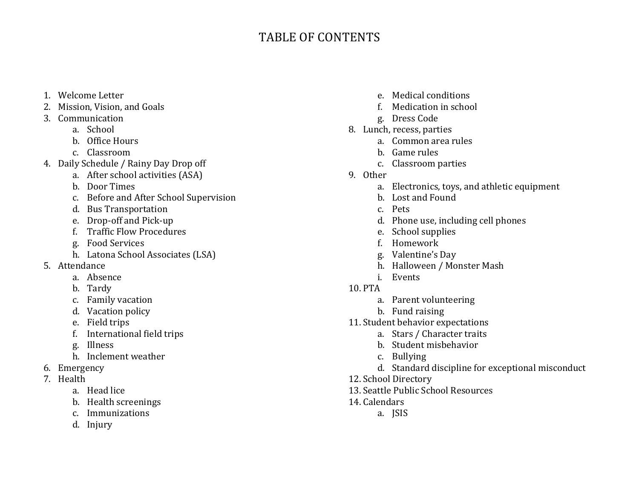## TABLE OF CONTENTS

- 1. Welcome Letter
- 2. Mission, Vision, and Goals
- 3. Communication
	- a. School
	- b. Office Hours
	- c. Classroom
- 4. Daily Schedule / Rainy Day Drop off
	- a. After school activities (ASA)
	- b. Door Times
	- c. Before and After School Supervision
	- d. Bus Transportation
	- e. Drop-off and Pick-up
	- f. Traffic Flow Procedures
	- g. Food Services
	- h. Latona School Associates (LSA)
- 5. Attendance
	- a. Absence
	- b. Tardy
	- c. Family vacation
	- d. Vacation policy
	- e. Field trips
	- f. International field trips
	- g. Illness
	- h. Inclement weather
- 6. Emergency
- 7. Health
	- a. Head lice
	- b. Health screenings
	- c. Immunizations
	- d. Injury
- e. Medical conditions
- f. Medication in school
- g. Dress Code
- 8. Lunch, recess, parties
	- a. Common area rules
	- b. Game rules
	- c. Classroom parties
- 9. Other
	- a. Electronics, toys, and athletic equipment
	- b. Lost and Found
	- c. Pets
	- d. Phone use, including cell phones
	- e. School supplies
	- f. Homework
	- g. Valentine's Day
	- h. Halloween / Monster Mash
	- i. Events
- 10. PTA
	- a. Parent volunteering
	- b. Fund raising
- 11. Student behavior expectations
	- a. Stars / Character traits
	- b. Student misbehavior
	- c. Bullying
	- d. Standard discipline for exceptional misconduct
- 12. School Directory
- 13. Seattle Public School Resources
- 14. Calendars
	- a. JSIS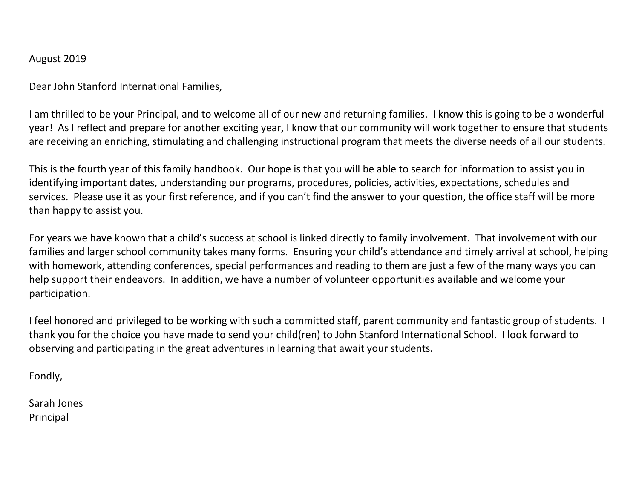## August 2019

Dear John Stanford International Families,

I am thrilled to be your Principal, and to welcome all of our new and returning families. I know this is going to be a wonderful year! As I reflect and prepare for another exciting year, I know that our community will work together to ensure that students are receiving an enriching, stimulating and challenging instructional program that meets the diverse needs of all our students.

This is the fourth year of this family handbook. Our hope is that you will be able to search for information to assist you in identifying important dates, understanding our programs, procedures, policies, activities, expectations, schedules and services. Please use it as your first reference, and if you can't find the answer to your question, the office staff will be more than happy to assist you.

For years we have known that a child's success at school is linked directly to family involvement. That involvement with our families and larger school community takes many forms. Ensuring your child's attendance and timely arrival at school, helping with homework, attending conferences, special performances and reading to them are just a few of the many ways you can help support their endeavors. In addition, we have a number of volunteer opportunities available and welcome your participation.

I feel honored and privileged to be working with such a committed staff, parent community and fantastic group of students. I thank you for the choice you have made to send your child(ren) to John Stanford International School. I look forward to observing and participating in the great adventures in learning that await your students.

Fondly,

Sarah Jones Principal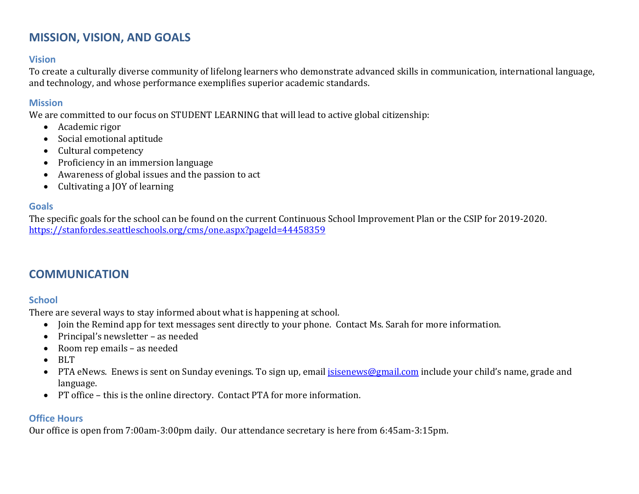## **MISSION, VISION, AND GOALS**

## **Vision**

To create a culturally diverse community of lifelong learners who demonstrate advanced skills in communication, international language, and technology, and whose performance exemplifies superior academic standards.

## **Mission**

We are committed to our focus on STUDENT LEARNING that will lead to active global citizenship:

- Academic rigor
- Social emotional aptitude
- Cultural competency
- Proficiency in an immersion language
- Awareness of global issues and the passion to act
- Cultivating a JOY of learning

## **Goals**

The specific goals for the school can be found on the current Continuous School Improvement Plan or the CSIP for 2019-2020. <https://stanfordes.seattleschools.org/cms/one.aspx?pageId=44458359>

## **COMMUNICATION**

## **School**

There are several ways to stay informed about what is happening at school.

- Join the Remind app for text messages sent directly to your phone. Contact Ms. Sarah for more information.
- Principal's newsletter as needed
- Room rep emails as needed
- BLT
- PTA eNews. Enews is sent on Sunday evenings. To sign up, email *isisenews@gmail.com* include your child's name, grade and language.
- PT office this is the online directory. Contact PTA for more information.

## **Office Hours**

Our office is open from 7:00am-3:00pm daily. Our attendance secretary is here from 6:45am-3:15pm.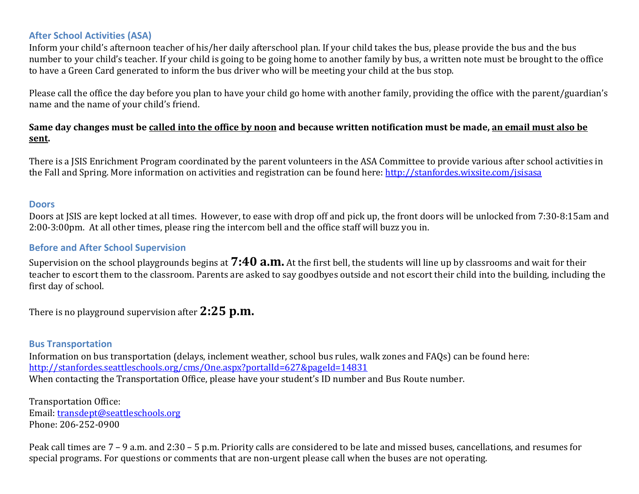## **After School Activities (ASA)**

Inform your child's afternoon teacher of his/her daily afterschool plan. If your child takes the bus, please provide the bus and the bus number to your child's teacher. If your child is going to be going home to another family by bus, a written note must be brought to the office to have a Green Card generated to inform the bus driver who will be meeting your child at the bus stop.

Please call the office the day before you plan to have your child go home with another family, providing the office with the parent/guardian's name and the name of your child's friend.

## **Same day changes must be called into the office by noon and because written notification must be made, an email must also be sent.**

There is a JSIS Enrichment Program coordinated by the parent volunteers in the ASA Committee to provide various after school activities in the Fall and Spring. More information on activities and registration can be found here: http://stanfordes.wixsite.com/jsisasa

#### **Doors**

Doors at JSIS are kept locked at all times. However, to ease with drop off and pick up, the front doors will be unlocked from 7:30-8:15am and 2:00-3:00pm. At all other times, please ring the intercom bell and the office staff will buzz you in.

#### **Before and After School Supervision**

Supervision on the school playgrounds begins at **7:40 a.m.** At the first bell, the students will line up by classrooms and wait for their teacher to escort them to the classroom. Parents are asked to say goodbyes outside and not escort their child into the building, including the first day of school.

There is no playground supervision after **2:25 p.m.**

## **Bus Transportation**

Information on bus transportation (delays, inclement weather, school bus rules, walk zones and FAQs) can be found here: <http://stanfordes.seattleschools.org/cms/One.aspx?portalId=627&pageId=14831> When contacting the Transportation Office, please have your student's ID number and Bus Route number.

Transportation Office: Email: [transdept@seattleschools.org](mailto:transdept@seattleschools.org) Phone: 206-252-0900

Peak call times are 7 – 9 a.m. and 2:30 – 5 p.m. Priority calls are considered to be late and missed buses, cancellations, and resumes for special programs. For questions or comments that are non-urgent please call when the buses are not operating.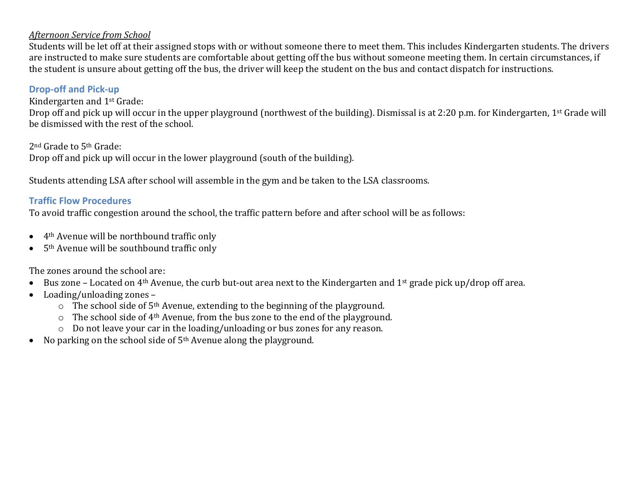## *Afternoon Service from School*

Students will be let off at their assigned stops with or without someone there to meet them. This includes Kindergarten students. The drivers are instructed to make sure students are comfortable about getting off the bus without someone meeting them. In certain circumstances, if the student is unsure about getting off the bus, the driver will keep the student on the bus and contact dispatch for instructions.

## **Drop-off and Pick-up**

Kindergarten and 1st Grade:

Drop off and pick up will occur in the upper playground (northwest of the building). Dismissal is at 2:20 p.m. for Kindergarten, 1st Grade will be dismissed with the rest of the school.

2nd Grade to 5th Grade: Drop off and pick up will occur in the lower playground (south of the building).

Students attending LSA after school will assemble in the gym and be taken to the LSA classrooms.

## **Traffic Flow Procedures**

To avoid traffic congestion around the school, the traffic pattern before and after school will be as follows:

- 4th Avenue will be northbound traffic only
- 5th Avenue will be southbound traffic only

The zones around the school are:

- Bus zone Located on 4th Avenue, the curb but-out area next to the Kindergarten and 1st grade pick up/drop off area.
- Loading/unloading zones
	- $\circ$  The school side of 5<sup>th</sup> Avenue, extending to the beginning of the playground.
	- $\circ$  The school side of 4<sup>th</sup> Avenue, from the bus zone to the end of the playground.
	- o Do not leave your car in the loading/unloading or bus zones for any reason.
- No parking on the school side of 5<sup>th</sup> Avenue along the playground.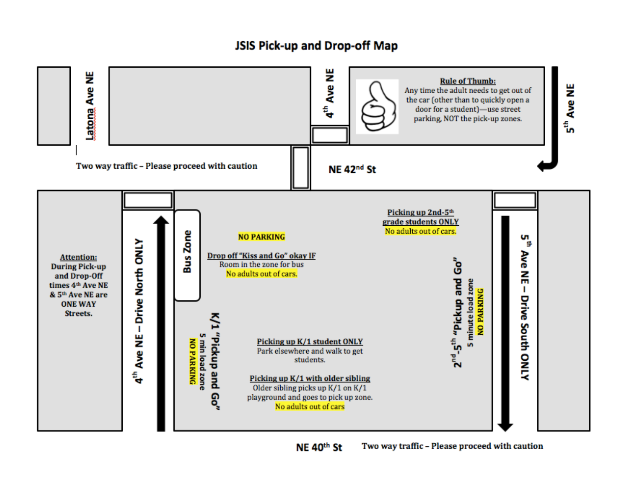## JSIS Pick-up and Drop-off Map

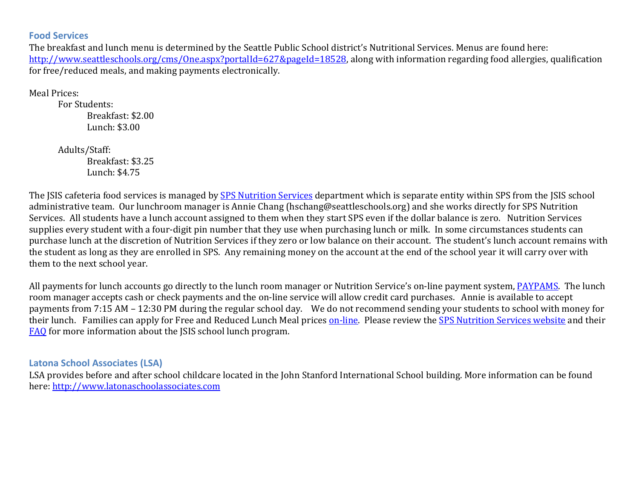## **Food Services**

The breakfast and lunch menu is determined by the Seattle Public School district's Nutritional Services. Menus are found here: [http://www.seattleschools.org/cms/One.aspx?portalId=627&pageId=18528,](http://www.seattleschools.org/cms/One.aspx?portalId=627&pageId=18528) along with information regarding food allergies, qualification for free/reduced meals, and making payments electronically.

Meal Prices:

For Students: Breakfast: \$2.00 Lunch: \$3.00

Adults/Staff: Breakfast: \$3.25 Lunch: \$4.75

The JSIS cafeteria food services is managed by [SPS Nutrition Services](https://www.seattleschools.org/departments/nutritionservices) department which is separate entity within SPS from the JSIS school administrative team. Our lunchroom manager is Annie Chang (hschang@seattleschools.org) and she works directly for SPS Nutrition Services. All students have a lunch account assigned to them when they start SPS even if the dollar balance is zero. Nutrition Services supplies every student with a four-digit pin number that they use when purchasing lunch or milk. In some circumstances students can purchase lunch at the discretion of Nutrition Services if they zero or low balance on their account. The student's lunch account remains with the student as long as they are enrolled in SPS. Any remaining money on the account at the end of the school year it will carry over with them to the next school year.

All payments for lunch accounts go directly to the lunch room manager or Nutrition Service's on-line payment system, [PAYPAMS.](https://paypams.com/HomePage.aspx) The lunch room manager accepts cash or check payments and the on-line service will allow credit card purchases. Annie is available to accept payments from 7:15 AM – 12:30 PM during the regular school day. We do not recommend sending your students to school with money for their lunch. Families can apply for Free and Reduced Lunch Meal price[s on-line.](https://paypams.com/OnlineApp.aspx) Please review the [SPS Nutrition Services website](https://www.seattleschools.org/departments/nutritionservices) and their FAQ for more information about the JSIS school lunch program.

**Latona School Associates (LSA)**

LSA provides before and after school childcare located in the John Stanford International School building. More information can be found here: [http://www.latonaschoolassociates.com](http://www.latonaschoolassociates.com/)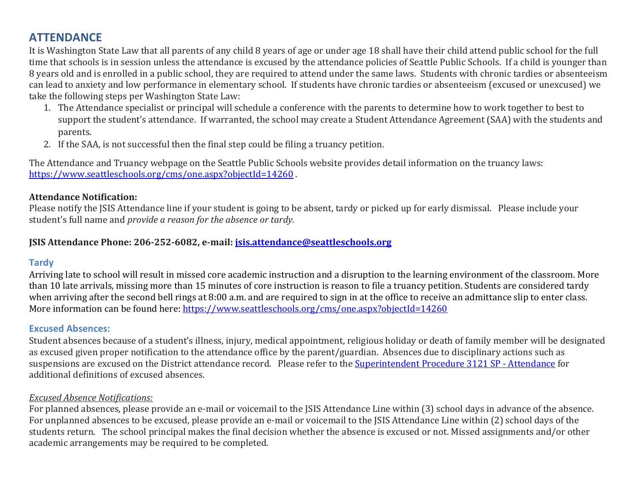## **ATTENDANCE**

It is Washington State Law that all parents of any child 8 years of age or under age 18 shall have their child attend public school for the full time that schools is in session unless the attendance is excused by the attendance policies of Seattle Public Schools. If a child is younger than 8 years old and is enrolled in a public school, they are required to attend under the same laws. Students with chronic tardies or absenteeism can lead to anxiety and low performance in elementary school. If students have chronic tardies or absenteeism (excused or unexcused) we take the following steps per Washington State Law:

- 1. The Attendance specialist or principal will schedule a conference with the parents to determine how to work together to best to support the student's attendance. If warranted, the school may create a Student Attendance Agreement (SAA) with the students and parents.
- 2. If the SAA, is not successful then the final step could be filing a truancy petition.

The Attendance and Truancy webpage on the Seattle Public Schools website provides detail information on the truancy laws: <https://www.seattleschools.org/cms/one.aspx?objectId=14260>.

## **Attendance Notification:**

Please notify the JSIS Attendance line if your student is going to be absent, tardy or picked up for early dismissal. Please include your student's full name and *provide a reason for the absence or tardy*.

## **JSIS Attendance Phone: 206-252-6082, e-mail: [jsis.attendance@seattleschools.org](mailto:jsis.attendance@seattleschools.org)**

## **Tardy**

Arriving late to school will result in missed core academic instruction and a disruption to the learning environment of the classroom. More than 10 late arrivals, missing more than 15 minutes of core instruction is reason to file a truancy petition. Students are considered tardy when arriving after the second bell rings at 8:00 a.m. and are required to sign in at the office to receive an admittance slip to enter class. More information can be found here:<https://www.seattleschools.org/cms/one.aspx?objectId=14260>

## **Excused Absences:**

Student absences because of a student's illness, injury, medical appointment, religious holiday or death of family member will be designated as excused given proper notification to the attendance office by the parent/guardian. Absences due to disciplinary actions such as suspensions are excused on the District attendance record. Please refer to the [Superintendent Procedure 3121 SP - Attendance](https://www.seattleschools.org/UserFiles/Servers/Server_543/File/District/Departments/School%20Board/Procedures/Series%203000/3121SP.pdf) for additional definitions of excused absences.

## *Excused Absence Notifications:*

For planned absences, please provide an e-mail or voicemail to the JSIS Attendance Line within (3) school days in advance of the absence. For unplanned absences to be excused, please provide an e-mail or voicemail to the JSIS Attendance Line within (2) school days of the students return. The school principal makes the final decision whether the absence is excused or not. Missed assignments and/or other academic arrangements may be required to be completed.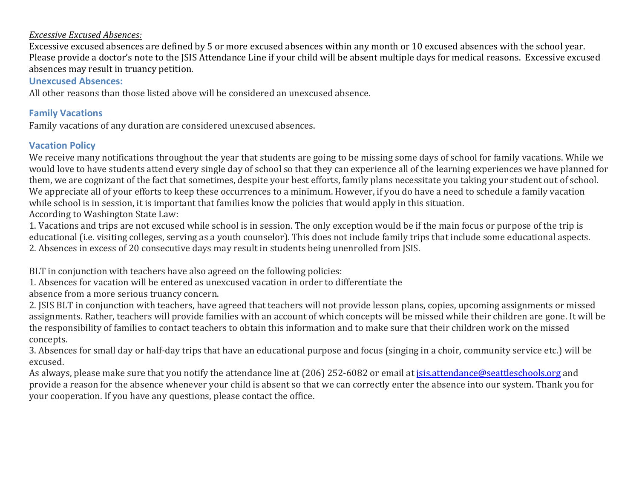#### *Excessive Excused Absences:*

Excessive excused absences are defined by 5 or more excused absences within any month or 10 excused absences with the school year. Please provide a doctor's note to the JSIS Attendance Line if your child will be absent multiple days for medical reasons. Excessive excused absences may result in truancy petition.

## **Unexcused Absences:**

All other reasons than those listed above will be considered an unexcused absence.

## **Family Vacations**

Family vacations of any duration are considered unexcused absences.

## **Vacation Policy**

We receive many notifications throughout the year that students are going to be missing some days of school for family vacations. While we would love to have students attend every single day of school so that they can experience all of the learning experiences we have planned for them, we are cognizant of the fact that sometimes, despite your best efforts, family plans necessitate you taking your student out of school. We appreciate all of your efforts to keep these occurrences to a minimum. However, if you do have a need to schedule a family vacation while school is in session, it is important that families know the policies that would apply in this situation.

According to Washington State Law:

1. Vacations and trips are not excused while school is in session. The only exception would be if the main focus or purpose of the trip is educational (i.e. visiting colleges, serving as a youth counselor). This does not include family trips that include some educational aspects. 2. Absences in excess of 20 consecutive days may result in students being unenrolled from JSIS.

BLT in conjunction with teachers have also agreed on the following policies:

1. Absences for vacation will be entered as unexcused vacation in order to differentiate the

absence from a more serious truancy concern.

2. JSIS BLT in conjunction with teachers, have agreed that teachers will not provide lesson plans, copies, upcoming assignments or missed assignments. Rather, teachers will provide families with an account of which concepts will be missed while their children are gone. It will be the responsibility of families to contact teachers to obtain this information and to make sure that their children work on the missed concepts.

3. Absences for small day or half-day trips that have an educational purpose and focus (singing in a choir, community service etc.) will be excused.

As always, please make sure that you notify the attendance line at (206) 252-6082 or email at [jsis.attendance@seattleschools.org](mailto:jsis.attendance@seattleschools.org) and provide a reason for the absence whenever your child is absent so that we can correctly enter the absence into our system. Thank you for your cooperation. If you have any questions, please contact the office.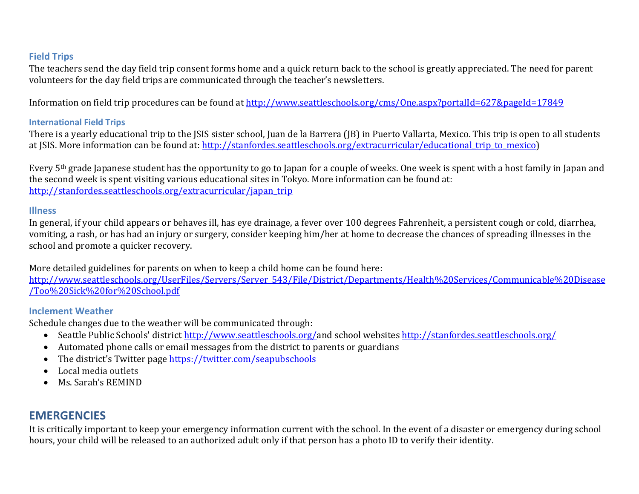## **Field Trips**

The teachers send the day field trip consent forms home and a quick return back to the school is greatly appreciated. The need for parent volunteers for the day field trips are communicated through the teacher's newsletters.

Information on field trip procedures can be found at<http://www.seattleschools.org/cms/One.aspx?portalId=627&pageId=17849>

## **International Field Trips**

There is a yearly educational trip to the JSIS sister school, Juan de la Barrera (JB) in Puerto Vallarta, Mexico. This trip is open to all students at JSIS. More information can be found at: [http://stanfordes.seattleschools.org/extracurricular/educational\\_trip\\_to\\_mexico\)](http://stanfordes.seattleschools.org/extracurricular/educational_trip_to_mexico)

Every 5th grade Japanese student has the opportunity to go to Japan for a couple of weeks. One week is spent with a host family in Japan and the second week is spent visiting various educational sites in Tokyo. More information can be found at: [http://stanfordes.seattleschools.org/extracurricular/japan\\_trip](http://stanfordes.seattleschools.org/extracurricular/japan_trip)

## **Illness**

In general, if your child appears or behaves ill, has eye drainage, a fever over 100 degrees Fahrenheit, a persistent cough or cold, diarrhea, vomiting, a rash, or has had an injury or surgery, consider keeping him/her at home to decrease the chances of spreading illnesses in the school and promote a quicker recovery.

More detailed guidelines for parents on when to keep a child home can be found here:

[http://www.seattleschools.org/UserFiles/Servers/Server\\_543/File/District/Departments/Health%20Services/Communicable%20Disease](http://www.seattleschools.org/UserFiles/Servers/Server_543/File/District/Departments/Health%20Services/Communicable%20Disease/Too%20Sick%20for%20School.pdf) [/Too%20Sick%20for%20School.pdf](http://www.seattleschools.org/UserFiles/Servers/Server_543/File/District/Departments/Health%20Services/Communicable%20Disease/Too%20Sick%20for%20School.pdf)

## **Inclement Weather**

Schedule changes due to the weather will be communicated through:

- Seattle Public Schools' district [http://www.seattleschools.org/a](http://www.seattleschools.org/)nd school websites <http://stanfordes.seattleschools.org/>
- Automated phone calls or email messages from the district to parents or guardians
- The district'[s Twitter page](https://twitter.com/seapubschools) <https://twitter.com/seapubschools>
- Local media outlets
- Ms. Sarah's REMIND

## **EMERGENCIES**

It is critically important to keep your emergency information current with the school. In the event of a disaster or emergency during school hours, your child will be released to an authorized adult only if that person has a photo ID to verify their identity.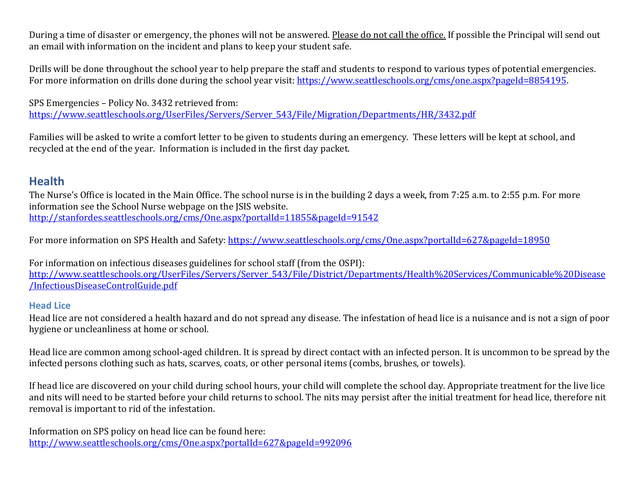During a time of disaster or emergency, the phones will not be answered. Please do not call the office. If possible the Principal will send out an email with information on the incident and plans to keep your student safe.

Drills will be done throughout the school year to help prepare the staff and students to respond to various types of potential emergencies. For more information on drills done during the school year visit: [https://www.seattleschools.org/cms/one.aspx?pageId=8854195.](https://www.seattleschools.org/cms/one.aspx?pageId=8854195)

SPS Emergencies – Policy No. 3432 retrieved from: https://www.seattleschools.org/UserFiles/Servers/Server 543/File/Migration/Departments/HR/3432.pdf

Families will be asked to write a comfort letter to be given to students during an emergency. These letters will be kept at school, and recycled at the end of the year. Information is included in the first day packet.

## **Health**

The Nurse's Office is located in the Main Office. The school nurse is in the building 2 days a week, from 7:25 a.m. to 2:55 p.m. For more information see the School Nurse webpage on the JSIS website. <http://stanfordes.seattleschools.org/cms/One.aspx?portalId=11855&pageId=91542>

For more information on SPS Health and Safety:<https://www.seattleschools.org/cms/One.aspx?portalId=627&pageId=18950>

For information on infectious diseases guidelines for school staff (from the OSPI): [http://www.seattleschools.org/UserFiles/Servers/Server\\_543/File/District/Departments/Health%20Services/Communicable%20Disease](http://www.seattleschools.org/UserFiles/Servers/Server_543/File/District/Departments/Health%20Services/Communicable%20Disease/InfectiousDiseaseControlGuide.pdf) [/InfectiousDiseaseControlGuide.pdf](http://www.seattleschools.org/UserFiles/Servers/Server_543/File/District/Departments/Health%20Services/Communicable%20Disease/InfectiousDiseaseControlGuide.pdf)

## **Head Lice**

Head lice are not considered a health hazard and do not spread any disease. The infestation of head lice is a nuisance and is not a sign of poor hygiene or uncleanliness at home or school.

Head lice are common among school-aged children. It is spread by direct contact with an infected person. It is uncommon to be spread by the infected persons clothing such as hats, scarves, coats, or other personal items (combs, brushes, or towels).

If head lice are discovered on your child during school hours, your child will complete the school day. Appropriate treatment for the live lice and nits will need to be started before your child returns to school. The nits may persist after the initial treatment for head lice, therefore nit removal is important to rid of the infestation.

Information on SPS policy on head lice can be found here: <http://www.seattleschools.org/cms/One.aspx?portalId=627&pageId=992096>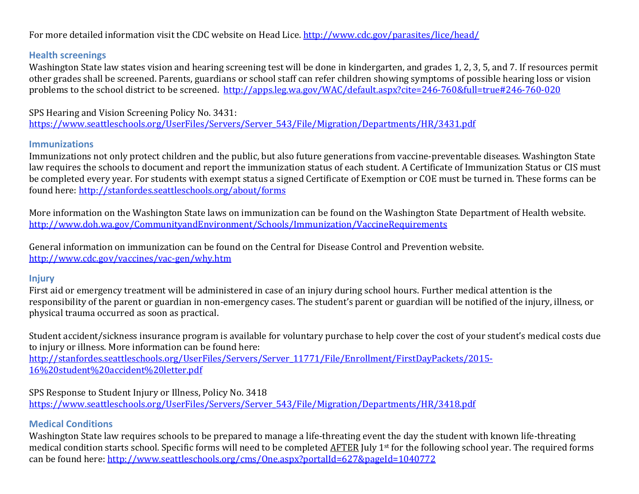For more detailed information visit the CDC website on Head Lice.<http://www.cdc.gov/parasites/lice/head/>

## **Health screenings**

Washington State law states vision and hearing screening test will be done in kindergarten, and grades 1, 2, 3, 5, and 7. If resources permit other grades shall be screened. Parents, guardians or school staff can refer children showing symptoms of possible hearing loss or vision problems to the school district to be screened. <http://apps.leg.wa.gov/WAC/default.aspx?cite=246-760&full=true#246-760-020>

SPS Hearing and Vision Screening Policy No. 3431: [https://www.seattleschools.org/UserFiles/Servers/Server\\_543/File/Migration/Departments/HR/3431.pdf](https://www.seattleschools.org/UserFiles/Servers/Server_543/File/Migration/Departments/HR/3431.pdf)

#### **Immunizations**

Immunizations not only protect children and the public, but also future generations from vaccine-preventable diseases. Washington State law requires the schools to document and report the immunization status of each student. A Certificate of Immunization Status or CIS must be completed every year. For students with exempt status a signed Certificate of Exemption or COE must be turned in. These forms can be found here:<http://stanfordes.seattleschools.org/about/forms>

More information on the Washington State laws on immunization can be found on the Washington State Department of Health website. <http://www.doh.wa.gov/CommunityandEnvironment/Schools/Immunization/VaccineRequirements>

General information on immunization can be found on the Central for Disease Control and Prevention website. <http://www.cdc.gov/vaccines/vac-gen/why.htm>

## **Injury**

First aid or emergency treatment will be administered in case of an injury during school hours. Further medical attention is the responsibility of the parent or guardian in non-emergency cases. The student's parent or guardian will be notified of the injury, illness, or physical trauma occurred as soon as practical.

Student accident/sickness insurance program is available for voluntary purchase to help cover the cost of your student's medical costs due to injury or illness. More information can be found here: [http://stanfordes.seattleschools.org/UserFiles/Servers/Server\\_11771/File/Enrollment/FirstDayPackets/2015-](http://stanfordes.seattleschools.org/UserFiles/Servers/Server_11771/File/Enrollment/FirstDayPackets/2015-16%20student%20accident%20letter.pdf) [16%20student%20accident%20letter.pdf](http://stanfordes.seattleschools.org/UserFiles/Servers/Server_11771/File/Enrollment/FirstDayPackets/2015-16%20student%20accident%20letter.pdf) 

SPS Response to Student Injury or Illness, Policy No. 3418 [https://www.seattleschools.org/UserFiles/Servers/Server\\_543/File/Migration/Departments/HR/3418.pdf](https://www.seattleschools.org/UserFiles/Servers/Server_543/File/Migration/Departments/HR/3418.pdf)

## **Medical Conditions**

Washington State law requires schools to be prepared to manage a life-threating event the day the student with known life-threating medical condition starts school. Specific forms will need to be completed AFTER July 1st for the following school year. The required forms can be found here:<http://www.seattleschools.org/cms/One.aspx?portalId=627&pageId=1040772>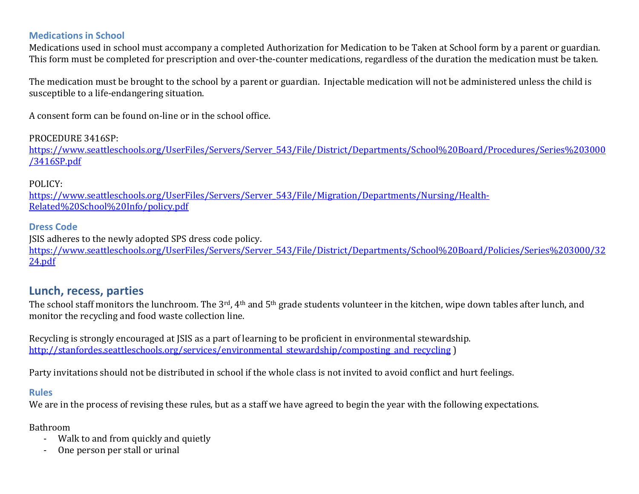## **Medications in School**

Medications used in school must accompany a completed Authorization for Medication to be Taken at School form by a parent or guardian. This form must be completed for prescription and over-the-counter medications, regardless of the duration the medication must be taken.

The medication must be brought to the school by a parent or guardian. Injectable medication will not be administered unless the child is susceptible to a life-endangering situation.

A consent form can be found on-line or in the school office.

## PROCEDURE 3416SP:

[https://www.seattleschools.org/UserFiles/Servers/Server\\_543/File/District/Departments/School%20Board/Procedures/Series%203000](https://www.seattleschools.org/UserFiles/Servers/Server_543/File/District/Departments/School%20Board/Procedures/Series%203000/3416SP.pdf) [/3416SP.pdf](https://www.seattleschools.org/UserFiles/Servers/Server_543/File/District/Departments/School%20Board/Procedures/Series%203000/3416SP.pdf)

## POLICY:

[https://www.seattleschools.org/UserFiles/Servers/Server\\_543/File/Migration/Departments/Nursing/Health-](https://www.seattleschools.org/UserFiles/Servers/Server_543/File/Migration/Departments/Nursing/Health-Related%20School%20Info/policy.pdf)[Related%20School%20Info/policy.pdf](https://www.seattleschools.org/UserFiles/Servers/Server_543/File/Migration/Departments/Nursing/Health-Related%20School%20Info/policy.pdf)

## **Dress Code**

JSIS adheres to the newly adopted SPS dress code policy.

[https://www.seattleschools.org/UserFiles/Servers/Server\\_543/File/District/Departments/School%20Board/Policies/Series%203000/32](https://www.seattleschools.org/UserFiles/Servers/Server_543/File/District/Departments/School%20Board/Policies/Series%203000/3224.pdf) [24.pdf](https://www.seattleschools.org/UserFiles/Servers/Server_543/File/District/Departments/School%20Board/Policies/Series%203000/3224.pdf)

## **Lunch, recess, parties**

The school staff monitors the lunchroom. The 3<sup>rd</sup>, 4<sup>th</sup> and 5<sup>th</sup> grade students volunteer in the kitchen, wipe down tables after lunch, and monitor the recycling and food waste collection line.

Recycling is strongly encouraged at JSIS as a part of learning to be proficient in environmental stewardship. [http://stanfordes.seattleschools.org/services/environmental\\_stewardship/composting\\_and\\_recycling](http://stanfordes.seattleschools.org/services/environmental_stewardship/composting_and_recycling) )

Party invitations should not be distributed in school if the whole class is not invited to avoid conflict and hurt feelings.

## **Rules**

We are in the process of revising these rules, but as a staff we have agreed to begin the year with the following expectations.

## Bathroom

- Walk to and from quickly and quietly
- One person per stall or urinal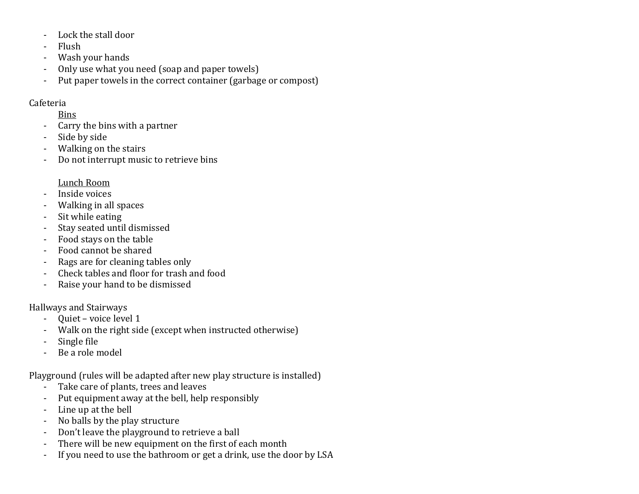- Lock the stall door
- Flush
- Wash your hands
- Only use what you need (soap and paper towels)
- Put paper towels in the correct container (garbage or compost)

## Cafeteria

## Bins

- Carry the bins with a partner
- Side by side
- Walking on the stairs
- Do not interrupt music to retrieve bins

## Lunch Room

- Inside voices
- Walking in all spaces
- Sit while eating<br>- Stay seated unti
- Stay seated until dismissed
- Food stays on the table
- Food cannot be shared
- Rags are for cleaning tables only
- Check tables and floor for trash and food
- Raise your hand to be dismissed

## Hallways and Stairways

- Quiet voice level 1
- Walk on the right side (except when instructed otherwise)
- Single file<br>- Be a role n
- Be a role model

Playground (rules will be adapted after new play structure is installed)<br>- Take care of plants, trees and leaves

- Take care of plants, trees and leaves
- Put equipment away at the bell, help responsibly
- Line up at the bell
- No balls by the play structure
- Don't leave the playground to retrieve a ball
- There will be new equipment on the first of each month
- If you need to use the bathroom or get a drink, use the door by LSA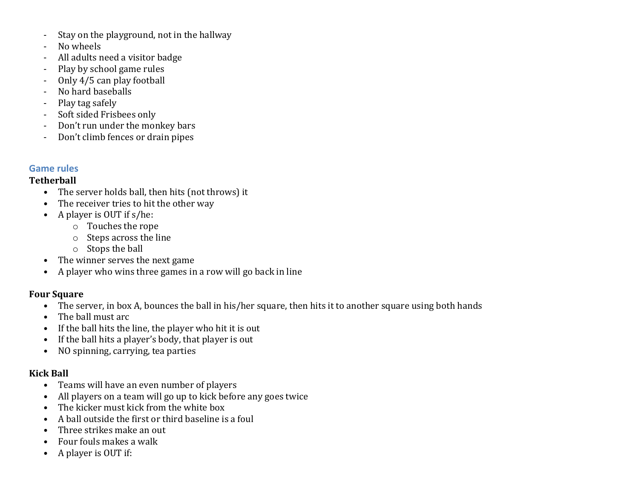- Stay on the playground, not in the hallway
- No wheels
- All adults need a visitor badge
- Play by school game rules
- Only 4/5 can play football
- No hard baseballs
- Play tag safely
- Soft sided Frisbees only
- Don't run under the monkey bars
- Don't climb fences or drain pipes

## **Game rules**

## **Tetherball**

- The server holds ball, then hits (not throws) it
- The receiver tries to hit the other way
- A player is OUT if s/he:
	- o Touches the rope
	- o Steps across the line
	- o Stops the ball
- The winner serves the next game
- A player who wins three games in a row will go back in line

## **Four Square**

- The server, in box A, bounces the ball in his/her square, then hits it to another square using both hands
- The ball must arc
- If the ball hits the line, the player who hit it is out
- If the ball hits a player's body, that player is out
- NO spinning, carrying, tea parties

## **Kick Ball**

- Teams will have an even number of players
- All players on a team will go up to kick before any goes twice
- The kicker must kick from the white box
- A ball outside the first or third baseline is a foul
- Three strikes make an out
- Four fouls makes a walk
- A player is OUT if: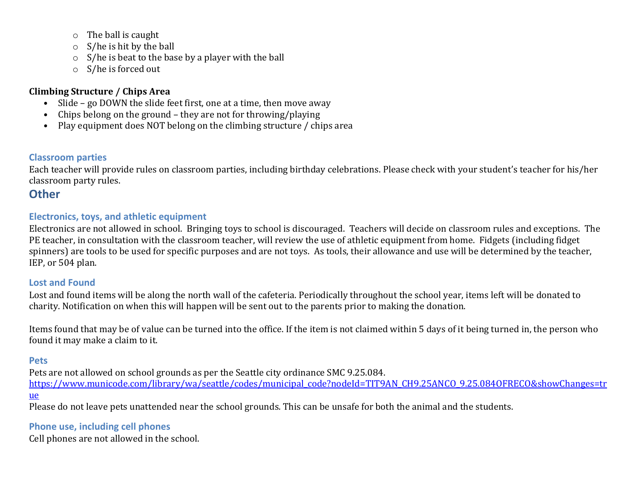- o The ball is caught
- o S/he is hit by the ball
- o S/he is beat to the base by a player with the ball
- o S/he is forced out

## **Climbing Structure / Chips Area**

- Slide go DOWN the slide feet first, one at a time, then move away
- Chips belong on the ground they are not for throwing/playing
- Play equipment does NOT belong on the climbing structure / chips area

## **Classroom parties**

Each teacher will provide rules on classroom parties, including birthday celebrations. Please check with your student's teacher for his/her classroom party rules.

## **Other**

## **Electronics, toys, and athletic equipment**

Electronics are not allowed in school. Bringing toys to school is discouraged. Teachers will decide on classroom rules and exceptions. The PE teacher, in consultation with the classroom teacher, will review the use of athletic equipment from home. Fidgets (including fidget spinners) are tools to be used for specific purposes and are not toys. As tools, their allowance and use will be determined by the teacher, IEP, or 504 plan.

## **Lost and Found**

Lost and found items will be along the north wall of the cafeteria. Periodically throughout the school year, items left will be donated to charity. Notification on when this will happen will be sent out to the parents prior to making the donation.

Items found that may be of value can be turned into the office. If the item is not claimed within 5 days of it being turned in, the person who found it may make a claim to it.

## **Pets**

Pets are not allowed on school grounds as per the Seattle city ordinance SMC 9.25.084. [https://www.municode.com/library/wa/seattle/codes/municipal\\_code?nodeId=TIT9AN\\_CH9.25ANCO\\_9.25.084OFRECO&showChanges=tr](https://www.municode.com/library/wa/seattle/codes/municipal_code?nodeId=TIT9AN_CH9.25ANCO_9.25.084OFRECO&showChanges=true) [ue](https://www.municode.com/library/wa/seattle/codes/municipal_code?nodeId=TIT9AN_CH9.25ANCO_9.25.084OFRECO&showChanges=true)  Please do not leave pets unattended near the school grounds. This can be unsafe for both the animal and the students.

## **Phone use, including cell phones**

Cell phones are not allowed in the school.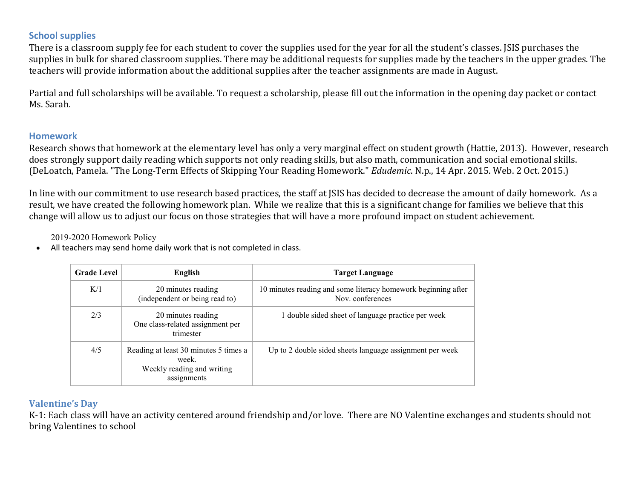## **School supplies**

There is a classroom supply fee for each student to cover the supplies used for the year for all the student's classes. JSIS purchases the supplies in bulk for shared classroom supplies. There may be additional requests for supplies made by the teachers in the upper grades. The teachers will provide information about the additional supplies after the teacher assignments are made in August.

Partial and full scholarships will be available. To request a scholarship, please fill out the information in the opening day packet or contact Ms. Sarah.

## **Homework**

Research shows that homework at the elementary level has only a very marginal effect on student growth (Hattie, 2013). However, research does strongly support daily reading which supports not only reading skills, but also math, communication and social emotional skills. (DeLoatch, Pamela. "The Long-Term Effects of Skipping Your Reading Homework." *Edudemic*. N.p., 14 Apr. 2015. Web. 2 Oct. 2015.)

In line with our commitment to use research based practices, the staff at JSIS has decided to decrease the amount of daily homework. As a result, we have created the following homework plan. While we realize that this is a significant change for families we believe that this change will allow us to adjust our focus on those strategies that will have a more profound impact on student achievement.

2019-2020 Homework Policy

• All teachers may send home daily work that is not completed in class.

| <b>Grade Level</b> | English                                                                                     | Target Language                                                                   |
|--------------------|---------------------------------------------------------------------------------------------|-----------------------------------------------------------------------------------|
| K/1                | 20 minutes reading<br>(independent or being read to)                                        | 10 minutes reading and some literacy homework beginning after<br>Nov. conferences |
| 2/3                | 20 minutes reading<br>One class-related assignment per<br>trimester                         | 1 double sided sheet of language practice per week                                |
| 4/5                | Reading at least 30 minutes 5 times a<br>week.<br>Weekly reading and writing<br>assignments | Up to 2 double sided sheets language assignment per week                          |

## **Valentine's Day**

K-1: Each class will have an activity centered around friendship and/or love. There are NO Valentine exchanges and students should not bring Valentines to school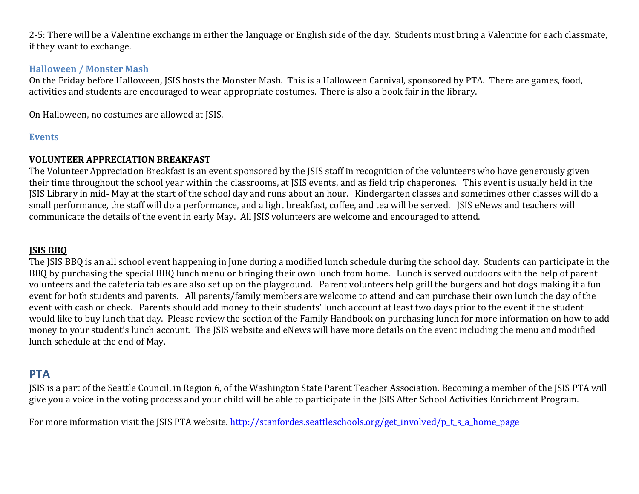2-5: There will be a Valentine exchange in either the language or English side of the day. Students must bring a Valentine for each classmate, if they want to exchange.

## **Halloween / Monster Mash**

On the Friday before Halloween, JSIS hosts the Monster Mash. This is a Halloween Carnival, sponsored by PTA. There are games, food, activities and students are encouraged to wear appropriate costumes. There is also a book fair in the library.

On Halloween, no costumes are allowed at JSIS.

#### **Events**

## **VOLUNTEER APPRECIATION BREAKFAST**

The Volunteer Appreciation Breakfast is an event sponsored by the JSIS staff in recognition of the volunteers who have generously given their time throughout the school year within the classrooms, at JSIS events, and as field trip chaperones. This event is usually held in the JSIS Library in mid- May at the start of the school day and runs about an hour. Kindergarten classes and sometimes other classes will do a small performance, the staff will do a performance, and a light breakfast, coffee, and tea will be served. JSIS eNews and teachers will communicate the details of the event in early May. All JSIS volunteers are welcome and encouraged to attend.

#### **JSIS BBQ**

The JSIS BBQ is an all school event happening in June during a modified lunch schedule during the school day. Students can participate in the BBQ by purchasing the special BBQ lunch menu or bringing their own lunch from home. Lunch is served outdoors with the help of parent volunteers and the cafeteria tables are also set up on the playground. Parent volunteers help grill the burgers and hot dogs making it a fun event for both students and parents. All parents/family members are welcome to attend and can purchase their own lunch the day of the event with cash or check. Parents should add money to their students' lunch account at least two days prior to the event if the student would like to buy lunch that day. Please review the section of the Family Handbook on purchasing lunch for more information on how to add money to your student's lunch account. The JSIS website and eNews will have more details on the event including the menu and modified lunch schedule at the end of May.

## **PTA**

JSIS is a part of the Seattle Council, in Region 6, of the Washington State Parent Teacher Association. Becoming a member of the JSIS PTA will give you a voice in the voting process and your child will be able to participate in the JSIS After School Activities Enrichment Program.

For more information visit the JSIS PTA website. [http://stanfordes.seattleschools.org/get\\_involved/p\\_t\\_s\\_a\\_home\\_page](http://stanfordes.seattleschools.org/get_involved/p_t_s_a_home_page)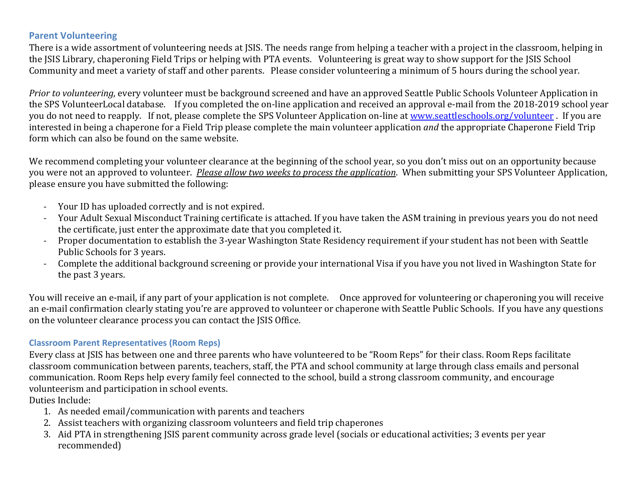## **Parent Volunteering**

There is a wide assortment of volunteering needs at JSIS. The needs range from helping a teacher with a project in the classroom, helping in the JSIS Library, chaperoning Field Trips or helping with PTA events. Volunteering is great way to show support for the JSIS School Community and meet a variety of staff and other parents. Please consider volunteering a minimum of 5 hours during the school year.

*Prior to volunteering*, every volunteer must be background screened and have an approved Seattle Public Schools Volunteer Application in the SPS VolunteerLocal database. If you completed the on-line application and received an approval e-mail from the 2018-2019 school year you do not need to reapply. If not, please complete the SPS Volunteer Application on-line at [www.seattleschools.org/volunteer](http://www.seattleschools.org/volunteer). If you are interested in being a chaperone for a Field Trip please complete the main volunteer application *and* the appropriate Chaperone Field Trip form which can also be found on the same website.

We recommend completing your volunteer clearance at the beginning of the school year, so you don't miss out on an opportunity because you were not an approved to volunteer. *Please allow two weeks to process the application*. When submitting your SPS Volunteer Application, please ensure you have submitted the following:

- Your ID has uploaded correctly and is not expired.
- Your Adult Sexual Misconduct Training certificate is attached. If you have taken the ASM training in previous years you do not need the certificate, just enter the approximate date that you completed it.
- Proper documentation to establish the 3-year Washington State Residency requirement if your student has not been with Seattle Public Schools for 3 years.
- Complete the additional background screening or provide your international Visa if you have you not lived in Washington State for the past 3 years.

You will receive an e-mail, if any part of your application is not complete. Once approved for volunteering or chaperoning you will receive an e-mail confirmation clearly stating you're are approved to volunteer or chaperone with Seattle Public Schools. If you have any questions on the volunteer clearance process you can contact the JSIS Office.

#### **Classroom Parent Representatives (Room Reps)**

Every class at JSIS has between one and three parents who have volunteered to be "Room Reps" for their class. Room Reps facilitate classroom communication between parents, teachers, staff, the PTA and school community at large through class emails and personal communication. Room Reps help every family feel connected to the school, build a strong classroom community, and encourage volunteerism and participation in school events.

Duties Include:

- 1. As needed email/communication with parents and teachers
- 2. Assist teachers with organizing classroom volunteers and field trip chaperones
- 3. Aid PTA in strengthening JSIS parent community across grade level (socials or educational activities; 3 events per year recommended)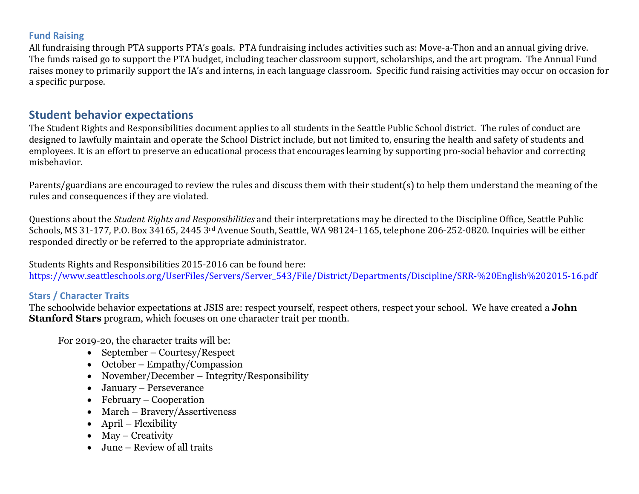## **Fund Raising**

All fundraising through PTA supports PTA's goals. PTA fundraising includes activities such as: Move-a-Thon and an annual giving drive. The funds raised go to support the PTA budget, including teacher classroom support, scholarships, and the art program. The Annual Fund raises money to primarily support the IA's and interns, in each language classroom. Specific fund raising activities may occur on occasion for a specific purpose.

## **Student behavior expectations**

The Student Rights and Responsibilities document applies to all students in the Seattle Public School district. The rules of conduct are designed to lawfully maintain and operate the School District include, but not limited to, ensuring the health and safety of students and employees. It is an effort to preserve an educational process that encourages learning by supporting pro-social behavior and correcting misbehavior.

Parents/guardians are encouraged to review the rules and discuss them with their student(s) to help them understand the meaning of the rules and consequences if they are violated.

Questions about the *Student Rights and Responsibilities* and their interpretations may be directed to the Discipline Office, Seattle Public Schools, MS 31-177, P.O. Box 34165, 2445 3rd Avenue South, Seattle, WA 98124-1165, telephone 206-252-0820. Inquiries will be either responded directly or be referred to the appropriate administrator.

Students Rights and Responsibilities 2015-2016 can be found here: [https://www.seattleschools.org/UserFiles/Servers/Server\\_543/File/District/Departments/Discipline/SRR-%20English%202015-16.pdf](https://www.seattleschools.org/UserFiles/Servers/Server_543/File/District/Departments/Discipline/SRR-%20English%202015-16.pdf)

## **Stars / Character Traits**

The schoolwide behavior expectations at JSIS are: respect yourself, respect others, respect your school. We have created a **John Stanford Stars** program, which focuses on one character trait per month.

For 2019-20, the character traits will be:

- September Courtesy/Respect
- October Empathy/Compassion
- November/December Integrity/Responsibility
- January Perseverance
- February Cooperation
- March Bravery/Assertiveness
- April Flexibility
- May Creativity
- June Review of all traits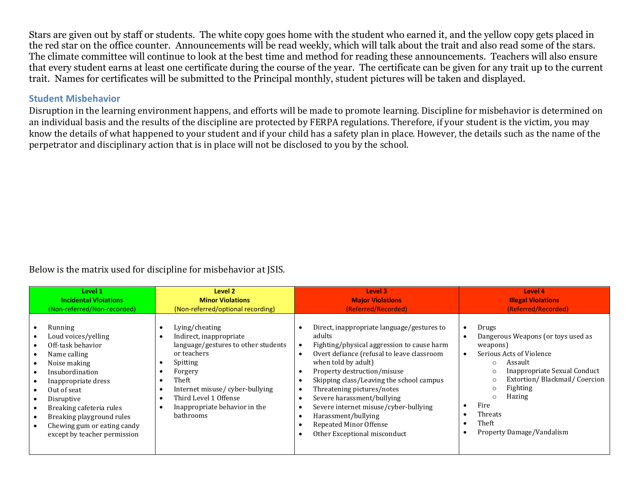Stars are given out by staff or students. The white copy goes home with the student who earned it, and the yellow copy gets placed in the red star on the office counter. Announcements will be read weekly, which will talk about the trait and also read some of the stars. The climate committee will continue to look at the best time and method for reading these announcements. Teachers will also ensure that every student earns at least one certificate during the course of the year. The certificate can be given for any trait up to the current trait. Names for certificates will be submitted to the Principal monthly, student pictures will be taken and displayed.

## **Student Misbehavior**

Disruption in the learning environment happens, and efforts will be made to promote learning. Discipline for misbehavior is determined on an individual basis and the results of the discipline are protected by FERPA regulations. Therefore, if your student is the victim, you may know the details of what happened to your student and if your child has a safety plan in place. However, the details such as the name of the perpetrator and disciplinary action that is in place will not be disclosed to you by the school.

Below is the matrix used for discipline for misbehavior at JSIS.

| Level 1                                                                                                                                                                                                                                                                            | Level 2                                                                                                                                                                                                                                  | Level 3                                                                                                                                                                                                                                                                                                                                                                                                                                  | Level 4                                                                                                                                                                                                                                                                                |
|------------------------------------------------------------------------------------------------------------------------------------------------------------------------------------------------------------------------------------------------------------------------------------|------------------------------------------------------------------------------------------------------------------------------------------------------------------------------------------------------------------------------------------|------------------------------------------------------------------------------------------------------------------------------------------------------------------------------------------------------------------------------------------------------------------------------------------------------------------------------------------------------------------------------------------------------------------------------------------|----------------------------------------------------------------------------------------------------------------------------------------------------------------------------------------------------------------------------------------------------------------------------------------|
| <b>Incidental Violations</b>                                                                                                                                                                                                                                                       | <b>Minor Violations</b>                                                                                                                                                                                                                  | <b>Major Violations</b>                                                                                                                                                                                                                                                                                                                                                                                                                  | <b>Illegal Violations</b>                                                                                                                                                                                                                                                              |
| (Non-referred/Non-recorded)                                                                                                                                                                                                                                                        | (Non-referred/optional recording)                                                                                                                                                                                                        | (Referred/Recorded)                                                                                                                                                                                                                                                                                                                                                                                                                      | (Referred/Recorded)                                                                                                                                                                                                                                                                    |
| Running<br>Loud voices/yelling<br>Off-task behavior<br>Name calling<br>Noise making<br>Insubordination<br>Inappropriate dress<br>Out of seat<br>Disruptive<br>Breaking cafeteria rules<br>Breaking playground rules<br>Chewing gum or eating candy<br>except by teacher permission | Lying/cheating<br>Indirect, inappropriate<br>language/gestures to other students<br>or teachers<br>Spitting<br>Forgery<br>Theft<br>Internet misuse/cyber-bullying<br>Third Level 1 Offense<br>Inappropriate behavior in the<br>bathrooms | Direct, inappropriate language/gestures to<br>adults<br>Fighting/physical aggression to cause harm<br>Overt defiance (refusal to leave classroom<br>when told by adult)<br>Property destruction/misuse<br>Skipping class/Leaving the school campus<br>Threatening pictures/notes<br>Severe harassment/bullying<br>Severe internet misuse/cyber-bullying<br>Harassment/bullying<br>Repeated Minor Offense<br>Other Exceptional misconduct | Drugs<br>Dangerous Weapons (or toys used as<br>weapons)<br>Serious Acts of Violence<br>Assault<br>$\Omega$<br>Inappropriate Sexual Conduct<br>Extortion/Blackmail/Coercion<br>Fighting<br>$\circ$<br>Hazing<br>$\circ$<br>Fire<br>Threats<br>Theft<br><b>Property Damage/Vandalism</b> |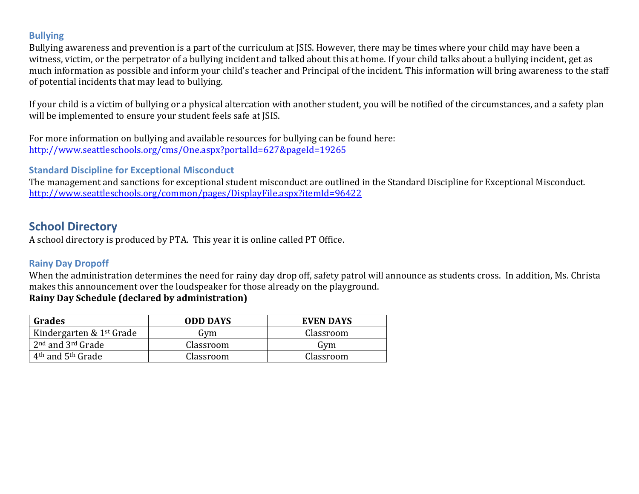## **Bullying**

Bullying awareness and prevention is a part of the curriculum at JSIS. However, there may be times where your child may have been a witness, victim, or the perpetrator of a bullying incident and talked about this at home. If your child talks about a bullying incident, get as much information as possible and inform your child's teacher and Principal of the incident. This information will bring awareness to the staff of potential incidents that may lead to bullying.

If your child is a victim of bullying or a physical altercation with another student, you will be notified of the circumstances, and a safety plan will be implemented to ensure your student feels safe at JSIS.

For more information on bullying and available resources for bullying can be found here: <http://www.seattleschools.org/cms/One.aspx?portalId=627&pageId=19265>

**Standard Discipline for Exceptional Misconduct**

The management and sanctions for exceptional student misconduct are outlined in the Standard Discipline for Exceptional Misconduct. <http://www.seattleschools.org/common/pages/DisplayFile.aspx?itemId=96422>

## **School Directory**

A school directory is produced by PTA. This year it is online called PT Office.

## **Rainy Day Dropoff**

When the administration determines the need for rainy day drop off, safety patrol will announce as students cross. In addition, Ms. Christa makes this announcement over the loudspeaker for those already on the playground.

## **Rainy Day Schedule (declared by administration)**

| Grades                                    | <b>ODD DAYS</b> | EVEN DAYS |
|-------------------------------------------|-----------------|-----------|
| Kindergarten & 1 <sup>st</sup> Grade      | Gvm             | Classroom |
| $2nd$ and $3rd$ Grade                     | Classroom       | Gvm       |
| 4 <sup>th</sup> and 5 <sup>th</sup> Grade | Classroom       | Classroom |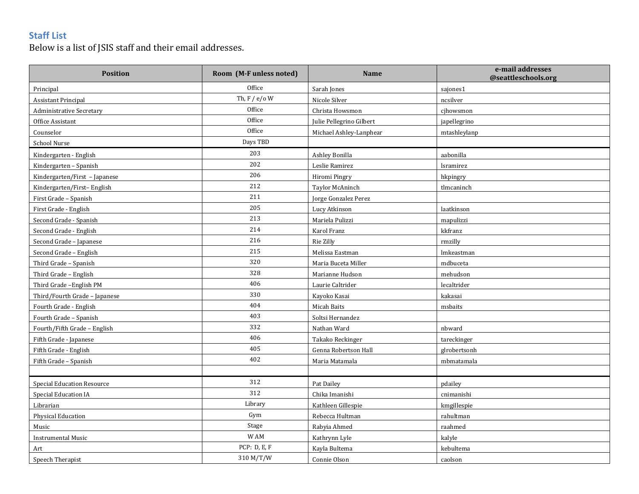## **Staff List**

Below is a list of JSIS staff and their email addresses.

| <b>Position</b>                   | Room (M-F unless noted) | <b>Name</b>              | e-mail addresses<br>@seattleschools.org |
|-----------------------------------|-------------------------|--------------------------|-----------------------------------------|
| Principal                         | Office                  | Sarah Jones              | sajones1                                |
| <b>Assistant Principal</b>        | Th, $F / e / o$ W       | Nicole Silver            | ncsilver                                |
| <b>Administrative Secretary</b>   | Office                  | Christa Howsmon          | cihowsmon                               |
| Office Assistant                  | Office                  | Julie Pellegrino Gilbert | japellegrino                            |
| Counselor                         | Office                  | Michael Ashley-Lanphear  | mtashleylanp                            |
| School Nurse                      | Days TBD                |                          |                                         |
| Kindergarten - English            | 203                     | Ashley Bonilla           | aabonilla                               |
| Kindergarten - Spanish            | 202                     | Leslie Ramirez           | lsramirez                               |
| Kindergarten/First - Japanese     | 206                     | Hiromi Pingry            | hkpingry                                |
| Kindergarten/First-English        | 212                     | Taylor McAninch          | tlmcaninch                              |
| First Grade - Spanish             | 211                     | Jorge Gonzalez Perez     |                                         |
| First Grade - English             | 205                     | Lucy Atkinson            | laatkinson                              |
| Second Grade - Spanish            | 213                     | Mariela Pulizzi          | mapulizzi                               |
| Second Grade - English            | 214                     | Karol Franz              | kkfranz                                 |
| Second Grade - Japanese           | 216                     | Rie Zilly                | rmzilly                                 |
| Second Grade - English            | 215                     | Melissa Eastman          | lmkeastman                              |
| Third Grade - Spanish             | 320                     | Maria Buceta Miller      | mdbuceta                                |
| Third Grade - English             | 328                     | Marianne Hudson          | mehudson                                |
| Third Grade - English PM          | 406                     | Laurie Caltrider         | lecaltrider                             |
| Third/Fourth Grade - Japanese     | 330                     | Kayoko Kasai             | kakasai                                 |
| Fourth Grade - English            | 404                     | Micah Baits              | msbaits                                 |
| Fourth Grade - Spanish            | 403                     | Soltsi Hernandez         |                                         |
| Fourth/Fifth Grade - English      | 332                     | Nathan Ward              | nbward                                  |
| Fifth Grade - Japanese            | 406                     | Takako Reckinger         | tareckinger                             |
| Fifth Grade - English             | 405                     | Genna Robertson Hall     | glrobertsonh                            |
| Fifth Grade - Spanish             | 402                     | Maria Matamala           | mbmatamala                              |
|                                   |                         |                          |                                         |
| <b>Special Education Resource</b> | 312                     | Pat Dailey               | pdailey                                 |
| Special Education IA              | 312                     | Chika Imanishi           | cnimanishi                              |
| Librarian                         | Library                 | Kathleen Gillespie       | kmgillespie                             |
| Physical Education                | Gym                     | Rebecca Hultman          | rahultman                               |
| Music                             | Stage                   | Rabyia Ahmed             | raahmed                                 |
| <b>Instrumental Music</b>         | W AM                    | Kathrynn Lyle            | kalyle                                  |
| Art                               | PCP: D, E, F            | Kayla Bultema            | kebultema                               |
| Speech Therapist                  | 310 M/T/W               | Connie Olson             | caolson                                 |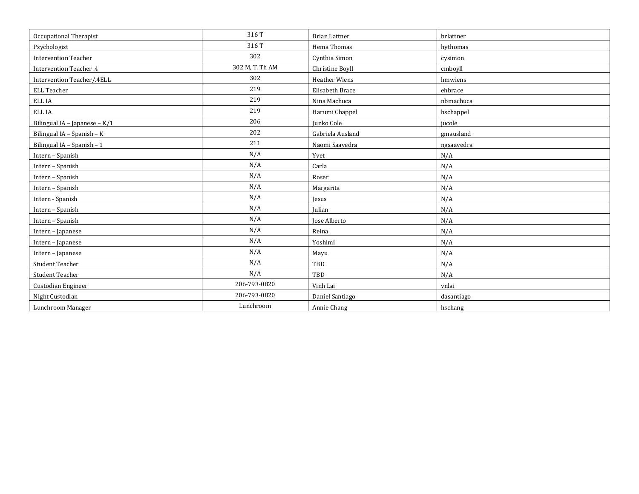| Occupational Therapist        | 316T            | <b>Brian Lattner</b> | brlattner  |
|-------------------------------|-----------------|----------------------|------------|
| Psychologist                  | 316T            | Hema Thomas          | hythomas   |
| <b>Intervention Teacher</b>   | 302             | Cynthia Simon        | cysimon    |
| Intervention Teacher .4       | 302 M, T, Th AM | Christine Boyll      | cmboyll    |
| Intervention Teacher/.4ELL    | 302             | <b>Heather Wiens</b> | hmwiens    |
| ELL Teacher                   | 219             | Elisabeth Brace      | ehbrace    |
| ELL IA                        | 219             | Nina Machuca         | nbmachuca  |
| ELL IA                        | 219             | Harumi Chappel       | hschappel  |
| Bilingual IA - Japanese - K/1 | 206             | Junko Cole           | jucole     |
| Bilingual IA - Spanish - K    | 202             | Gabriela Ausland     | gmausland  |
| Bilingual IA - Spanish - 1    | 211             | Naomi Saavedra       | ngsaavedra |
| Intern - Spanish              | N/A             | Yvet                 | N/A        |
| Intern - Spanish              | N/A             | Carla                | N/A        |
| Intern - Spanish              | N/A             | Roser                | N/A        |
| Intern - Spanish              | N/A             | Margarita            | N/A        |
| Intern - Spanish              | N/A             | Jesus                | N/A        |
| Intern - Spanish              | N/A             | Julian               | N/A        |
| Intern - Spanish              | N/A             | Jose Alberto         | N/A        |
| Intern - Japanese             | N/A             | Reina                | N/A        |
| Intern - Japanese             | N/A             | Yoshimi              | N/A        |
| Intern - Japanese             | N/A             | Mayu                 | N/A        |
| Student Teacher               | N/A             | TBD                  | N/A        |
| Student Teacher               | N/A             | TBD                  | N/A        |
| Custodian Engineer            | 206-793-0820    | Vinh Lai             | vnlai      |
| Night Custodian               | 206-793-0820    | Daniel Santiago      | dasantiago |
| Lunchroom Manager             | Lunchroom       | Annie Chang          | hschang    |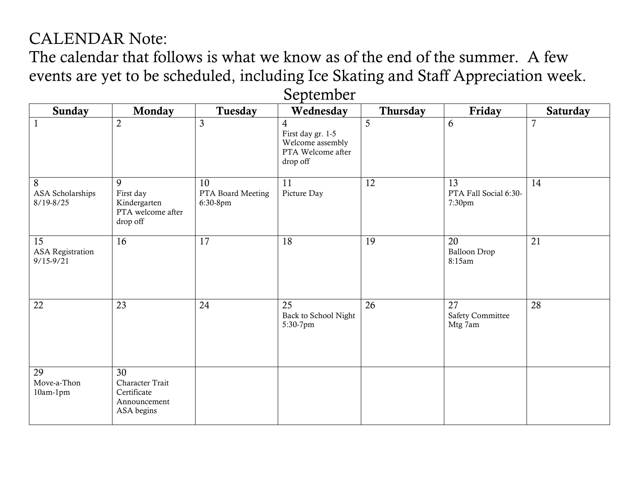## CALENDAR Note:

The calendar that follows is what we know as of the end of the summer. A few events are yet to be scheduled, including Ice Skating and Staff Appreciation week.

| Sunday                                         | <b>Monday</b>                                                      | Tuesday                             | Wednesday                                                                                | Thursday | Friday                                   | <b>Saturday</b> |
|------------------------------------------------|--------------------------------------------------------------------|-------------------------------------|------------------------------------------------------------------------------------------|----------|------------------------------------------|-----------------|
| $\mathbf{1}$                                   | $\overline{2}$                                                     | $\mathfrak{Z}$                      | $\overline{4}$<br>First day gr. 1-5<br>Welcome assembly<br>PTA Welcome after<br>drop off | 5        | 6                                        | $\overline{7}$  |
| 8<br>ASA Scholarships<br>$8/19 - 8/25$         | 9<br>First day<br>Kindergarten<br>PTA welcome after<br>drop off    | 10<br>PTA Board Meeting<br>6:30-8pm | 11<br>Picture Day                                                                        | 12       | 13<br>PTA Fall Social 6:30-<br>7:30pm    | 14              |
| 15<br><b>ASA</b> Registration<br>$9/15 - 9/21$ | 16                                                                 | 17                                  | 18                                                                                       | 19       | 20<br><b>Balloon Drop</b><br>8:15am      | 21              |
| 22                                             | 23                                                                 | 24                                  | 25<br>Back to School Night<br>5:30-7pm                                                   | 26       | 27<br><b>Safety Committee</b><br>Mtg 7am | 28              |
| 29<br>Move-a-Thon<br>10am-1pm                  | 30<br>Character Trait<br>Certificate<br>Announcement<br>ASA begins |                                     |                                                                                          |          |                                          |                 |

September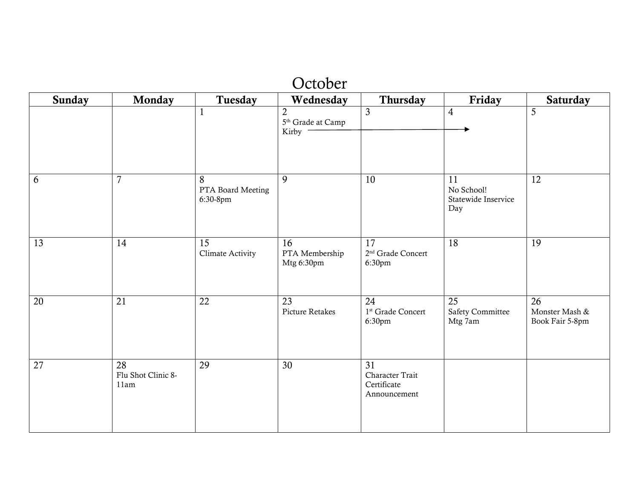|                 | October                          |                                            |                                                            |                                                            |                                                       |                                         |  |
|-----------------|----------------------------------|--------------------------------------------|------------------------------------------------------------|------------------------------------------------------------|-------------------------------------------------------|-----------------------------------------|--|
| <b>Sunday</b>   | Monday                           | Tuesday                                    | Wednesday                                                  | Thursday                                                   | Friday                                                | Saturday                                |  |
|                 |                                  | $\mathbf{1}$                               | $\overline{2}$<br>5 <sup>th</sup> Grade at Camp<br>Kirby - | $\overline{3}$                                             | $\overline{4}$                                        | 5                                       |  |
| 6               | $\overline{7}$                   | 8<br>PTA Board Meeting<br>6:30-8pm         | 9                                                          | 10                                                         | 11<br>No School!<br>Statewide Inservice<br>Day        | 12                                      |  |
| $\overline{13}$ | 14                               | $\overline{15}$<br><b>Climate Activity</b> | 16<br>PTA Membership<br>Mtg 6:30pm                         | $\overline{17}$<br>2 <sup>nd</sup> Grade Concert<br>6:30pm | 18                                                    | 19                                      |  |
| 20              | $\overline{21}$                  | $\overline{22}$                            | 23<br>Picture Retakes                                      | 24<br>1 <sup>st</sup> Grade Concert<br>6:30pm              | $\overline{25}$<br><b>Safety Committee</b><br>Mtg 7am | 26<br>Monster Mash &<br>Book Fair 5-8pm |  |
| 27              | 28<br>Flu Shot Clinic 8-<br>11am | 29                                         | 30                                                         | 31<br>Character Trait<br>Certificate<br>Announcement       |                                                       |                                         |  |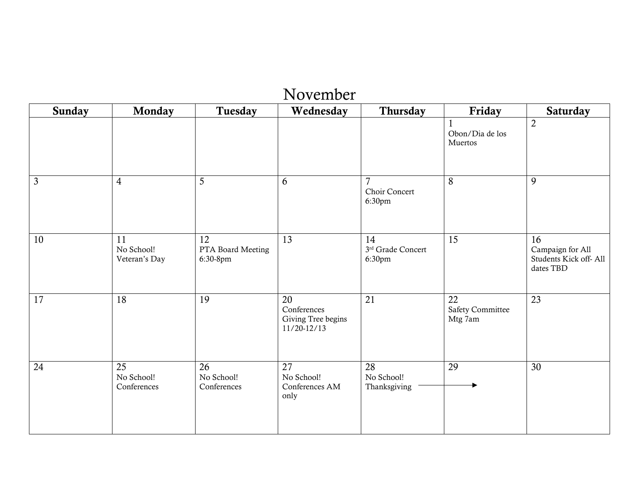| November       |                                   |                                     |                                                            |                                           |                                          |                                                              |
|----------------|-----------------------------------|-------------------------------------|------------------------------------------------------------|-------------------------------------------|------------------------------------------|--------------------------------------------------------------|
| <b>Sunday</b>  | Monday                            | Tuesday                             | Wednesday                                                  | Thursday                                  | Friday                                   | <b>Saturday</b>                                              |
|                |                                   |                                     |                                                            |                                           | Obon/Dia de los<br>Muertos               | $\overline{2}$                                               |
| $\mathfrak{Z}$ | $\overline{4}$                    | 5                                   | 6                                                          | $\overline{7}$<br>Choir Concert<br>6:30pm | 8                                        | 9                                                            |
| 10             | 11<br>No School!<br>Veteran's Day | 12<br>PTA Board Meeting<br>6:30-8pm | $\overline{13}$                                            | 14<br>3rd Grade Concert<br>6:30pm         | $\overline{15}$                          | 16<br>Campaign for All<br>Students Kick off-All<br>dates TBD |
| 17             | 18                                | 19                                  | 20<br>Conferences<br>Giving Tree begins<br>$11/20 - 12/13$ | 21                                        | 22<br><b>Safety Committee</b><br>Mtg 7am | 23                                                           |
| 24             | 25<br>No School!<br>Conferences   | 26<br>No School!<br>Conferences     | 27<br>No School!<br>Conferences AM<br>only                 | 28<br>No School!<br>Thanksgiving          | 29                                       | 30                                                           |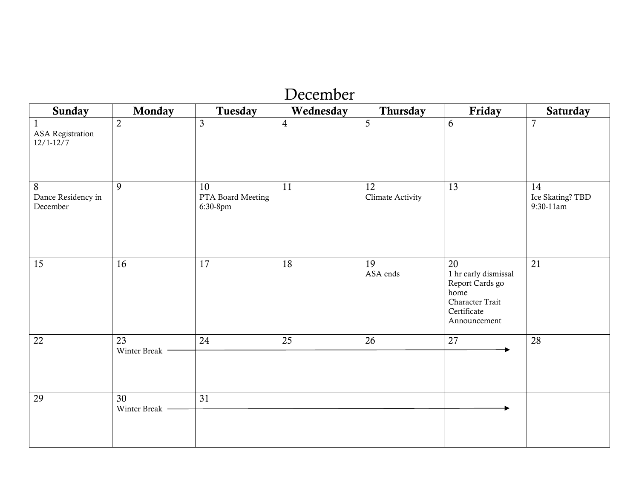| <b>Sunday</b>                       | Monday                          | Tuesday                             | Wednesday      | Thursday               | Friday                                                                                                  | Saturday                              |
|-------------------------------------|---------------------------------|-------------------------------------|----------------|------------------------|---------------------------------------------------------------------------------------------------------|---------------------------------------|
| ASA Registration<br>$12/1 - 12/7$   | $\overline{2}$                  | $\mathfrak{Z}$                      | $\overline{4}$ | 5                      | 6                                                                                                       | $\overline{7}$                        |
| 8<br>Dance Residency in<br>December | 9                               | 10<br>PTA Board Meeting<br>6:30-8pm | 11             | 12<br>Climate Activity | 13                                                                                                      | 14<br>Ice Skating? TBD<br>$9:30-11am$ |
| 15                                  | 16                              | $\overline{17}$                     | 18             | 19<br>ASA ends         | 20<br>1 hr early dismissal<br>Report Cards go<br>home<br>Character Trait<br>Certificate<br>Announcement | $\overline{21}$                       |
| 22                                  | $\overline{23}$<br>Winter Break | 24                                  | 25             | 26                     | 27                                                                                                      | 28                                    |
| 29                                  | $\overline{30}$<br>Winter Break | $\overline{31}$                     |                |                        |                                                                                                         |                                       |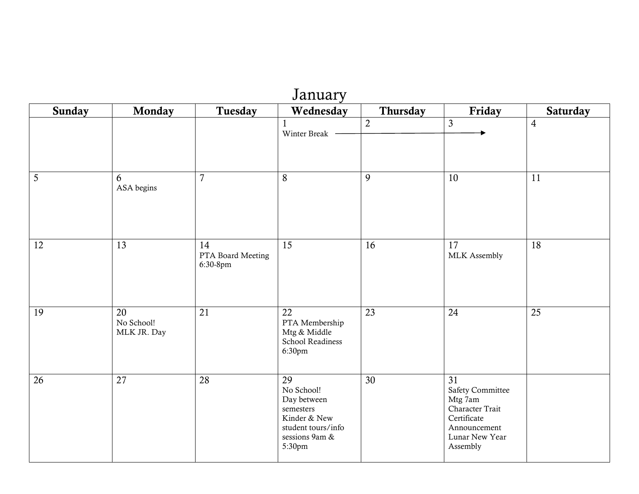| January |                                 |                                     |                                                                                                                |                 |                                                                                                                                |                 |  |
|---------|---------------------------------|-------------------------------------|----------------------------------------------------------------------------------------------------------------|-----------------|--------------------------------------------------------------------------------------------------------------------------------|-----------------|--|
| Sunday  | Monday                          | Tuesday                             | Wednesday                                                                                                      | Thursday        | Friday                                                                                                                         | <b>Saturday</b> |  |
|         |                                 |                                     | Winter Break                                                                                                   | $\overline{2}$  | $\mathfrak{Z}$                                                                                                                 | $\overline{4}$  |  |
| 5       | 6<br>ASA begins                 | $\overline{7}$                      | 8                                                                                                              | 9               | 10                                                                                                                             | 11              |  |
| 12      | 13                              | 14<br>PTA Board Meeting<br>6:30-8pm | 15                                                                                                             | $\overline{16}$ | 17<br>MLK Assembly                                                                                                             | $\overline{18}$ |  |
| 19      | 20<br>No School!<br>MLK JR. Day | $\overline{21}$                     | 22<br>PTA Membership<br>Mtg & Middle<br>School Readiness<br>6:30pm                                             | $\overline{23}$ | 24                                                                                                                             | $\overline{25}$ |  |
| 26      | $\overline{27}$                 | $\overline{28}$                     | 29<br>No School!<br>Day between<br>semesters<br>Kinder & New<br>student tours/info<br>sessions 9am &<br>5:30pm | $\overline{30}$ | $\overline{31}$<br>Safety Committee<br>Mtg 7am<br>Character Trait<br>Certificate<br>Announcement<br>Lunar New Year<br>Assembly |                 |  |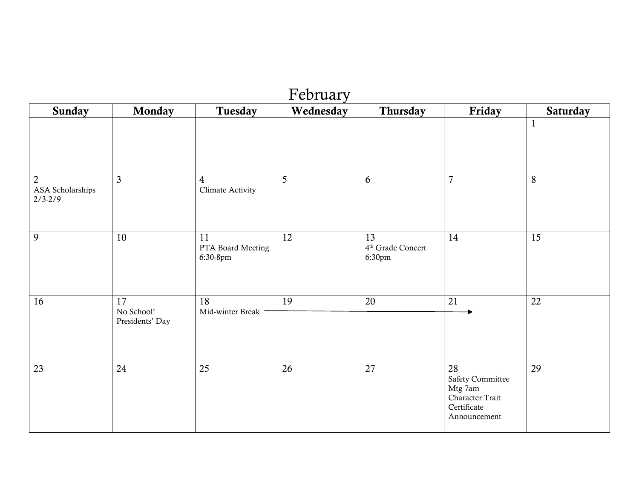|                                                   | February                            |                                     |           |                                               |                                                                                     |                 |  |  |
|---------------------------------------------------|-------------------------------------|-------------------------------------|-----------|-----------------------------------------------|-------------------------------------------------------------------------------------|-----------------|--|--|
| <b>Sunday</b>                                     | Monday                              | Tuesday                             | Wednesday | Thursday                                      | Friday                                                                              | Saturday        |  |  |
|                                                   |                                     |                                     |           |                                               |                                                                                     | $\mathbf{1}$    |  |  |
| $\overline{2}$<br>ASA Scholarships<br>$2/3 - 2/9$ | $\overline{3}$                      | $\overline{4}$<br>Climate Activity  | 5         | 6                                             | $\overline{7}$                                                                      | 8               |  |  |
| $\overline{9}$                                    | 10                                  | 11<br>PTA Board Meeting<br>6:30-8pm | 12        | 13<br>4 <sup>th</sup> Grade Concert<br>6:30pm | 14                                                                                  | 15              |  |  |
| 16                                                | 17<br>No School!<br>Presidents' Day | 18<br>Mid-winter Break              | 19        | 20                                            | 21                                                                                  | 22              |  |  |
| $\overline{23}$                                   | 24                                  | $\overline{25}$                     | 26        | $\overline{27}$                               | 28<br>Safety Committee<br>Mtg 7am<br>Character Trait<br>Certificate<br>Announcement | $\overline{29}$ |  |  |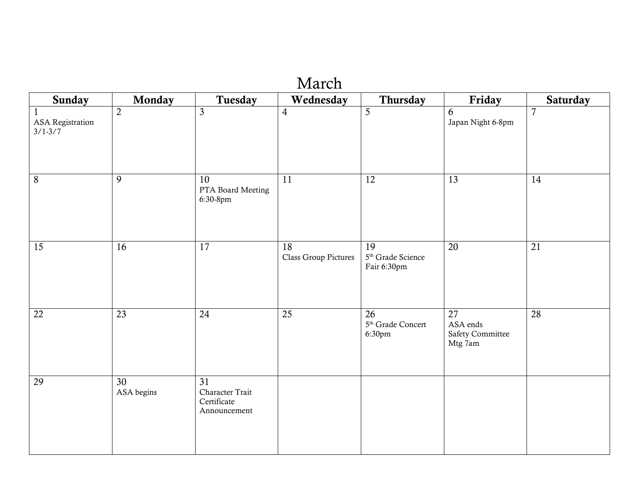|                                                        |                               |                                                                   | March                      |                                                    |                                                                   |                |
|--------------------------------------------------------|-------------------------------|-------------------------------------------------------------------|----------------------------|----------------------------------------------------|-------------------------------------------------------------------|----------------|
| Sunday                                                 | Monday                        | Tuesday                                                           | Wednesday                  | Thursday                                           | Friday                                                            | Saturday       |
| $\mathbf{1}$<br><b>ASA</b> Registration<br>$3/1 - 3/7$ | $\overline{2}$                | $\overline{3}$                                                    | $\overline{4}$             | $\overline{5}$                                     | 6<br>Japan Night 6-8pm                                            | $\overline{7}$ |
| $8\,$                                                  | 9                             | 10<br>PTA Board Meeting<br>6:30-8pm                               | 11                         | 12                                                 | 13                                                                | 14             |
| 15                                                     | 16                            | 17                                                                | 18<br>Class Group Pictures | 19<br>5 <sup>th</sup> Grade Science<br>Fair 6:30pm | 20                                                                | 21             |
| 22                                                     | $\overline{23}$               | 24                                                                | $\overline{25}$            | 26<br>5 <sup>th</sup> Grade Concert<br>6:30pm      | $\overline{27}$<br>ASA ends<br><b>Safety Committee</b><br>Mtg 7am | 28             |
| 29                                                     | $\overline{30}$<br>ASA begins | $\overline{31}$<br>Character Trait<br>Certificate<br>Announcement |                            |                                                    |                                                                   |                |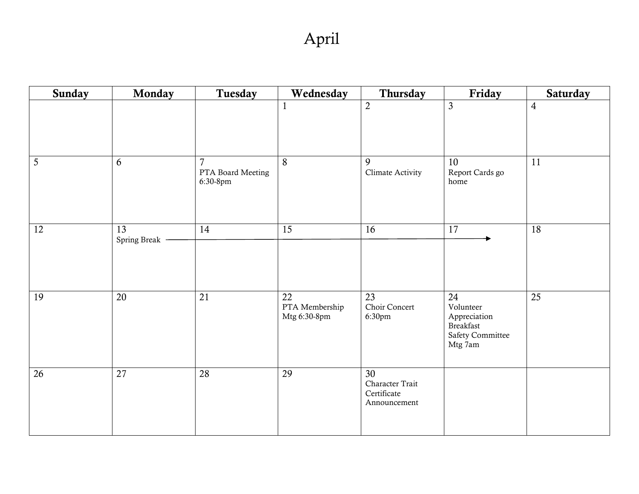| <b>Sunday</b>  | Monday                          | Tuesday                            | Wednesday                                         | Thursday                                             | Friday                                                                      | Saturday        |
|----------------|---------------------------------|------------------------------------|---------------------------------------------------|------------------------------------------------------|-----------------------------------------------------------------------------|-----------------|
|                |                                 |                                    | $\mathbf{1}$                                      | $\overline{2}$                                       | $\mathfrak{Z}$                                                              | $\overline{4}$  |
| $\overline{5}$ | 6                               | 7<br>PTA Board Meeting<br>6:30-8pm | 8                                                 | 9<br>Climate Activity                                | 10<br>Report Cards go<br>$\,$ home                                          | 11              |
| 12             | $\overline{13}$<br>Spring Break | 14                                 | $\overline{15}$                                   | 16                                                   | $\overline{17}$                                                             | $\overline{18}$ |
| 19             | $\overline{20}$                 | 21                                 | $\overline{22}$<br>PTA Membership<br>Mtg 6:30-8pm | $\overline{23}$<br>Choir Concert<br>6:30pm           | 24<br>Volunteer<br>Appreciation<br>Breakfast<br>Safety Committee<br>Mtg 7am | $\overline{25}$ |
| 26             | 27                              | 28                                 | 29                                                | 30<br>Character Trait<br>Certificate<br>Announcement |                                                                             |                 |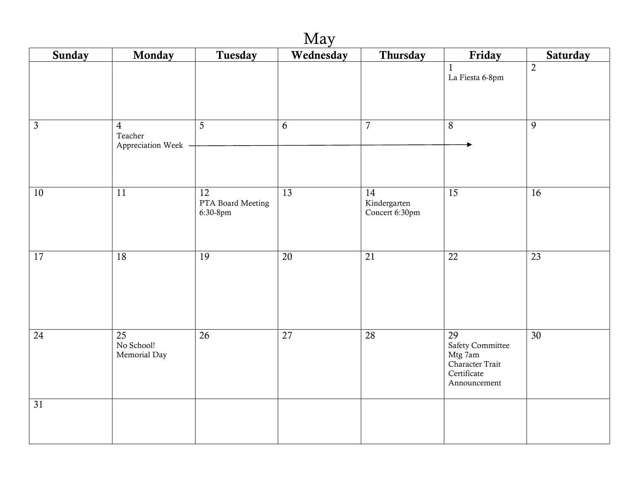| May             |                                                  |                                                  |                 |                                                   |                                                                                                         |                 |  |
|-----------------|--------------------------------------------------|--------------------------------------------------|-----------------|---------------------------------------------------|---------------------------------------------------------------------------------------------------------|-----------------|--|
| Sunday          | Monday                                           | Tuesday                                          | Wednesday       | Thursday                                          | Friday                                                                                                  | <b>Saturday</b> |  |
|                 |                                                  |                                                  |                 |                                                   | $\mathbf{1}$<br>La Fiesta 6-8pm                                                                         | $\overline{2}$  |  |
| $\mathfrak{Z}$  | $\overline{4}$<br>Teacher<br>Appreciation Week - | 5                                                | 6               | $\overline{7}$                                    | $8\,$                                                                                                   | 9               |  |
| 10              | $\overline{11}$                                  | $\overline{12}$<br>PTA Board Meeting<br>6:30-8pm | $\overline{13}$ | $\overline{14}$<br>Kindergarten<br>Concert 6:30pm | $\overline{15}$                                                                                         | $\overline{16}$ |  |
| 17              | 18                                               | $\overline{19}$                                  | $\overline{20}$ | $\overline{21}$                                   | $\overline{22}$                                                                                         | $\overline{23}$ |  |
| 24              | $\overline{25}$<br>No School!<br>Memorial Day    | $\overline{26}$                                  | $\overline{27}$ | $\overline{28}$                                   | $\overline{29}$<br><b>Safety Committee</b><br>Mtg 7am<br>Character Trait<br>Certificate<br>Announcement | $\overline{30}$ |  |
| $\overline{31}$ |                                                  |                                                  |                 |                                                   |                                                                                                         |                 |  |